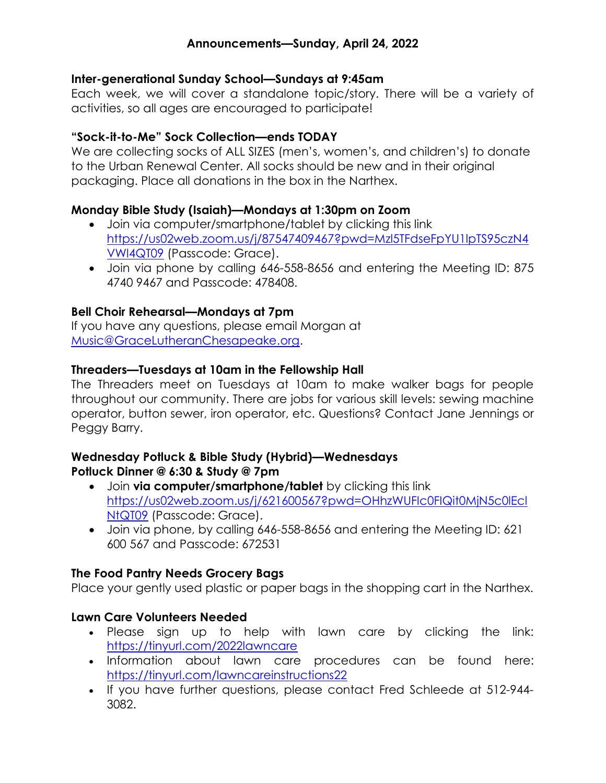### Inter-generational Sunday School—Sundays at 9:45am

Each week, we will cover a standalone topic/story. There will be a variety of activities, so all ages are encouraged to participate!

### "Sock-it-to-Me" Sock Collection—ends TODAY

We are collecting socks of ALL SIZES (men's, women's, and children's) to donate to the Urban Renewal Center. All socks should be new and in their original packaging. Place all donations in the box in the Narthex.

# Monday Bible Study (Isaiah)—Mondays at 1:30pm on Zoom

- Join via computer/smartphone/tablet by clicking this link https://us02web.zoom.us/j/87547409467?pwd=Mzl5TFdseFpYU1lpTS95czN4 VWl4QT09 (Passcode: Grace).
- Join via phone by calling 646-558-8656 and entering the Meeting ID: 875 4740 9467 and Passcode: 478408.

### Bell Choir Rehearsal—Mondays at 7pm

If you have any questions, please email Morgan at Music@GraceLutheranChesapeake.org.

### Threaders—Tuesdays at 10am in the Fellowship Hall

The Threaders meet on Tuesdays at 10am to make walker bags for people throughout our community. There are jobs for various skill levels: sewing machine operator, button sewer, iron operator, etc. Questions? Contact Jane Jennings or Peggy Barry.

#### Wednesday Potluck & Bible Study (Hybrid)—Wednesdays Potluck Dinner @ 6:30 & Study @ 7pm

- Join via computer/smartphone/tablet by clicking this link https://us02web.zoom.us/j/621600567?pwd=OHhzWUFIc0FIQit0MjN5c0lEcl NtQT09 (Passcode: Grace).
- Join via phone, by calling 646-558-8656 and entering the Meeting ID: 621 600 567 and Passcode: 672531

# The Food Pantry Needs Grocery Bags

Place your gently used plastic or paper bags in the shopping cart in the Narthex.

### Lawn Care Volunteers Needed

- Please sign up to help with lawn care by clicking the link: https://tinyurl.com/2022lawncare
- Information about lawn care procedures can be found here: https://tinyurl.com/lawncareinstructions22
- If you have further questions, please contact Fred Schleede at 512-944- 3082.